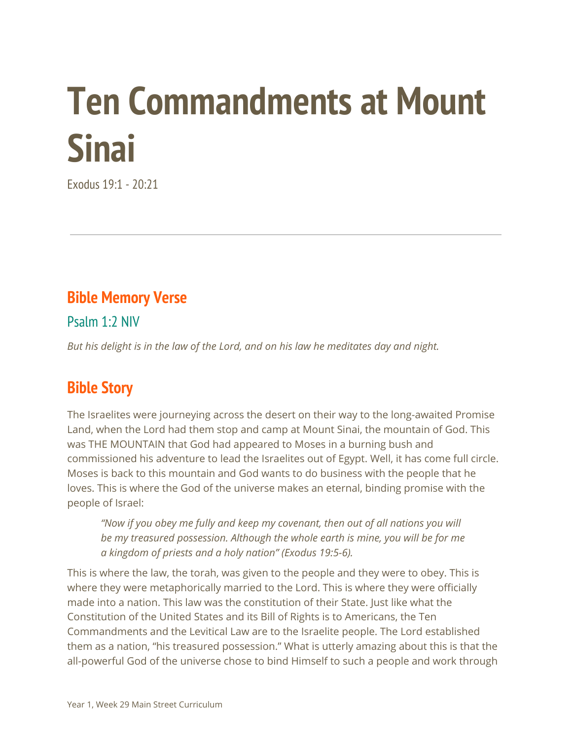# **Ten Commandments at Mount Sinai**

Exodus 19:1 - 20:21

### **Bible Memory Verse**

Psalm 1:2 NIV

*But his delight is in the law of the Lord, and on his law he meditates day and night.*

# **Bible Story**

The Israelites were journeying across the desert on their way to the long-awaited Promise Land, when the Lord had them stop and camp at Mount Sinai, the mountain of God. This was THE MOUNTAIN that God had appeared to Moses in a burning bush and commissioned his adventure to lead the Israelites out of Egypt. Well, it has come full circle. Moses is back to this mountain and God wants to do business with the people that he loves. This is where the God of the universe makes an eternal, binding promise with the people of Israel:

*"Now if you obey me fully and keep my covenant, then out of all nations you will be my treasured possession. Although the whole earth is mine, you will be for me a kingdom of priests and a holy nation" (Exodus 19:5-6).*

This is where the law, the torah, was given to the people and they were to obey. This is where they were metaphorically married to the Lord. This is where they were officially made into a nation. This law was the constitution of their State. Just like what the Constitution of the United States and its Bill of Rights is to Americans, the Ten Commandments and the Levitical Law are to the Israelite people. The Lord established them as a nation, "his treasured possession." What is utterly amazing about this is that the all-powerful God of the universe chose to bind Himself to such a people and work through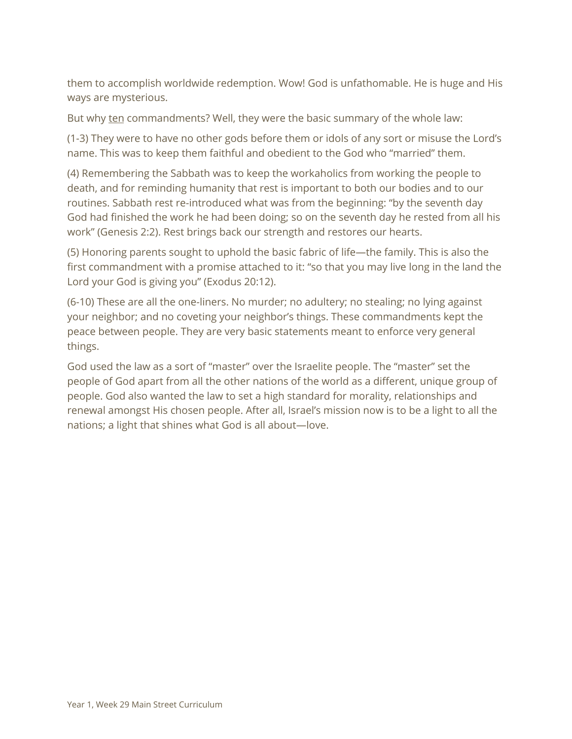them to accomplish worldwide redemption. Wow! God is unfathomable. He is huge and His ways are mysterious.

But why ten commandments? Well, they were the basic summary of the whole law:

(1-3) They were to have no other gods before them or idols of any sort or misuse the Lord's name. This was to keep them faithful and obedient to the God who "married" them.

(4) Remembering the Sabbath was to keep the workaholics from working the people to death, and for reminding humanity that rest is important to both our bodies and to our routines. Sabbath rest re-introduced what was from the beginning: "by the seventh day God had finished the work he had been doing; so on the seventh day he rested from all his work" (Genesis 2:2). Rest brings back our strength and restores our hearts.

(5) Honoring parents sought to uphold the basic fabric of life—the family. This is also the first commandment with a promise attached to it: "so that you may live long in the land the Lord your God is giving you" (Exodus 20:12).

(6-10) These are all the one-liners. No murder; no adultery; no stealing; no lying against your neighbor; and no coveting your neighbor's things. These commandments kept the peace between people. They are very basic statements meant to enforce very general things.

God used the law as a sort of "master" over the Israelite people. The "master" set the people of God apart from all the other nations of the world as a different, unique group of people. God also wanted the law to set a high standard for morality, relationships and renewal amongst His chosen people. After all, Israel's mission now is to be a light to all the nations; a light that shines what God is all about—love.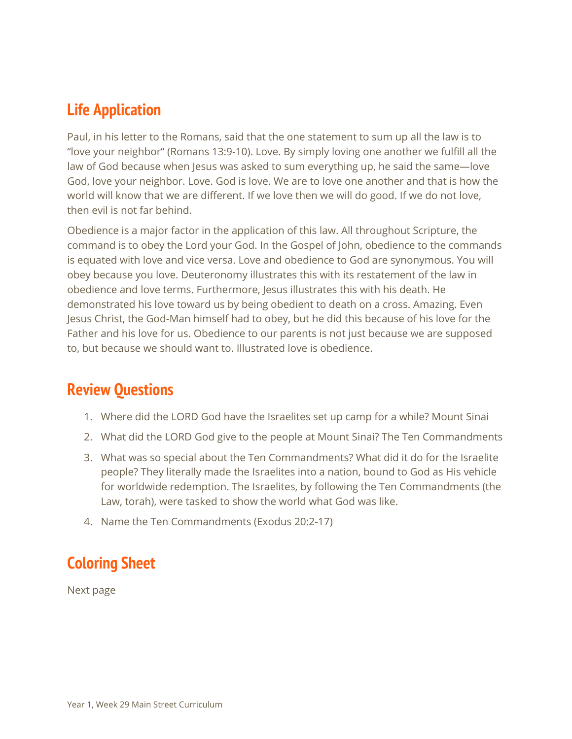### **Life Application**

Paul, in his letter to the Romans, said that the one statement to sum up all the law is to "love your neighbor" (Romans 13:9-10). Love. By simply loving one another we fulfill all the law of God because when Jesus was asked to sum everything up, he said the same—love God, love your neighbor. Love. God is love. We are to love one another and that is how the world will know that we are different. If we love then we will do good. If we do not love, then evil is not far behind.

Obedience is a major factor in the application of this law. All throughout Scripture, the command is to obey the Lord your God. In the Gospel of John, obedience to the commands is equated with love and vice versa. Love and obedience to God are synonymous. You will obey because you love. Deuteronomy illustrates this with its restatement of the law in obedience and love terms. Furthermore, Jesus illustrates this with his death. He demonstrated his love toward us by being obedient to death on a cross. Amazing. Even Jesus Christ, the God-Man himself had to obey, but he did this because of his love for the Father and his love for us. Obedience to our parents is not just because we are supposed to, but because we should want to. Illustrated love is obedience.

#### **Review Questions**

- 1. Where did the LORD God have the Israelites set up camp for a while? Mount Sinai
- 2. What did the LORD God give to the people at Mount Sinai? The Ten Commandments
- 3. What was so special about the Ten Commandments? What did it do for the Israelite people? They literally made the Israelites into a nation, bound to God as His vehicle for worldwide redemption. The Israelites, by following the Ten Commandments (the Law, torah), were tasked to show the world what God was like.
- 4. Name the Ten Commandments (Exodus 20:2-17)

# **Coloring Sheet**

Next page